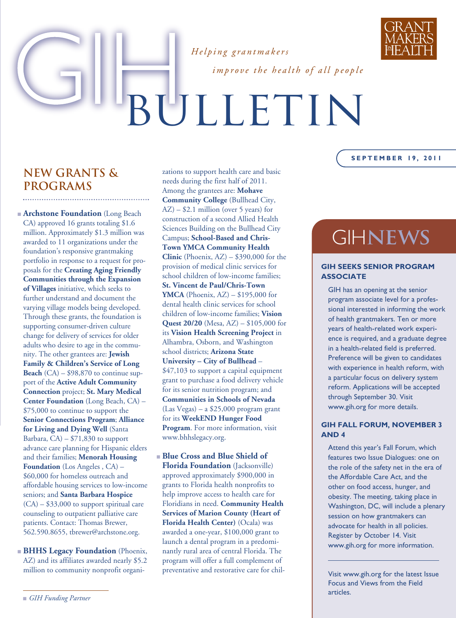



*improve the health of all people*

# BULLETIN

#### **NEW GRANTS & PROGRAMS**

**■ Archstone Foundation** (Long Beach CA) approved 16 grants totaling \$1.6 million. Approximately \$1.3 million was awarded to 11 organizations under the foundation's responsive grantmaking portfolio in response to a request for proposals for the **Creating Aging Friendly Communities through the Expansion of Villages** initiative*,* which seeks to further understand and document the varying village models being developed. Through these grants, the foundation is supporting consumer-driven culture change for delivery of services for older adults who desire to age in the community. The other grantees are: **Jewish Family & Children's Service of Long Beach** (CA) – \$98,870 to continue support of the **Active Adult Community Connection** project; **St. Mary Medical Center Foundation** (Long Beach, CA) – \$75,000 to continue to support the **Senior Connections Program**; **Alliance for Living and Dying Well** (Santa Barbara,  $CA$ ) –  $$71,830$  to support advance care planning for Hispanic elders and their families; **Menorah Housing Foundation** (Los Angeles , CA) – \$60,000 for homeless outreach and affordable housing services to low-income seniors; and **Santa Barbara Hospice** (CA) – \$33,000 to support spiritual care counseling to outpatient palliative care patients. Contact: Thomas Brewer, 562.590.8655, tbrewer@archstone.org.

**■ BHHS Legacy Foundation** (Phoenix, AZ) and its affiliates awarded nearly \$5.2 million to community nonprofit organizations to support health care and basic needs during the first half of 2011. Among the grantees are: **Mohave Community College** (Bullhead City,  $AZ$ ) – \$2.1 million (over 5 years) for construction of a second Allied Health Sciences Building on the Bullhead City Campus; **School-Based and Chris-Town YMCA Community Health Clinic** (Phoenix, AZ) – \$390,000 for the provision of medical clinic services for school children of low-income families; **St. Vincent de Paul/Chris-Town YMCA** (Phoenix, AZ) – \$195,000 for dental health clinic services for school children of low-income families; **Vision Quest 20/20** (Mesa, AZ) – \$105,000 for its **Vision Health Screening Project** in Alhambra, Osborn, and Washington school districts; **Arizona State University – City of Bullhead** – \$47,103 to support a capital equipment grant to purchase a food delivery vehicle for its senior nutrition program; and **Communities in Schools of Nevada** (Las Vegas) – a \$25,000 program grant for its **WeekEND Hunger Food Program**. For more information, visit www.bhhslegacy.org.

**■ Blue Cross and Blue Shield of Florida Foundation** (Jacksonville) approved approximately \$900,000 in grants to Florida health nonprofits to help improve access to health care for Floridians in need. **Community Health Services of Marion County (Heart of Florida Health Center)** (Ocala) was awarded a one-year, \$100,000 grant to launch a dental program in a predominantly rural area of central Florida. The program will offer a full complement of preventative and restorative care for chil-

#### **S EPTEMBER 19, 2011**

## GIH**news**

#### **GIH SEEKS SENIOR PROGRAM ASSOCIATE**

GIH has an opening at the senior program associate level for a professional interested in informing the work of health grantmakers. Ten or more years of health-related work experience is required, and a graduate degree in a health-related field is preferred. Preference will be given to candidates with experience in health reform, with a particular focus on delivery system reform. Applications will be accepted through September 30. Visit www.gih.org for more details.

#### **GIH FALL FORUM, NOVEMBER 3 AND 4**

Attend this year's Fall Forum, which features two Issue Dialogues: one on the role of the safety net in the era of the Affordable Care Act, and the other on food access, hunger, and obesity. The meeting, taking place in Washington, DC, will include a plenary session on how grantmakers can advocate for health in all policies. Register by October 14. Visit www.gih.org for more information.

Visit www.gih.org for the latest Issue Focus and Views from the Field articles.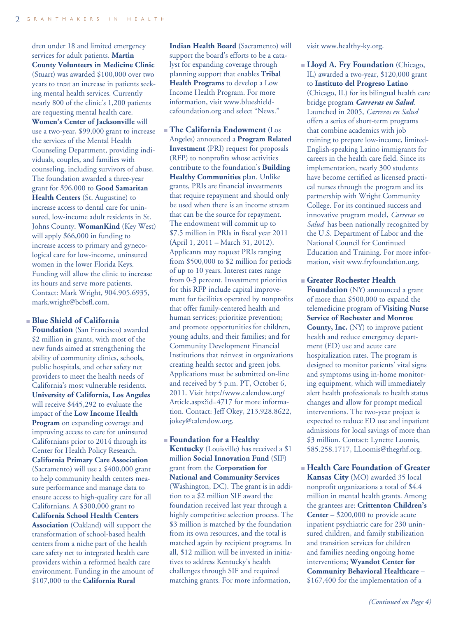dren under 18 and limited emergency services for adult patients. **Martin County Volunteers in Medicine Clinic** (Stuart) was awarded \$100,000 over two years to treat an increase in patients seeking mental health services. Currently nearly 800 of the clinic's 1,200 patients are requesting mental health care. **Women's Center of Jacksonville** will use a two-year, \$99,000 grant to increase the services of the Mental Health Counseling Department, providing individuals, couples, and families with counseling, including survivors of abuse. The foundation awarded a three-year grant for \$96,000 to **Good Samaritan Health Centers** (St. Augustine) to increase access to dental care for uninsured, low-income adult residents in St. Johns County. **WomanKind** (Key West) will apply \$66,000 in funding to increase access to primary and gynecological care for low-income, uninsured women in the lower Florida Keys. Funding will allow the clinic to increase its hours and serve more patients. Contact: Mark Wright, 904.905.6935, mark.wright@bcbsfl.com.

#### **■ Blue Shield of California**

**Foundation** (San Francisco) awarded \$2 million in grants, with most of the new funds aimed at strengthening the ability of community clinics, schools, public hospitals, and other safety net providers to meet the health needs of California's most vulnerable residents. **University of California, Los Angeles** will receive \$445,292 to evaluate the impact of the **Low Income Health Program** on expanding coverage and improving access to care for uninsured Californians prior to 2014 through its Center for Health Policy Research. **California Primary Care Association** (Sacramento) will use a \$400,000 grant to help community health centers measure performance and manage data to ensure access to high-quality care for all Californians. A \$300,000 grant to **California School Health Centers Association** (Oakland) will support the transformation of school-based health centers from a niche part of the health care safety net to integrated health care providers within a reformed health care environment. Funding in the amount of \$107,000 to the **California Rural**

**Indian Health Board** (Sacramento) will support the board's efforts to be a catalyst for expanding coverage through planning support that enables **Tribal Health Programs** to develop a Low Income Health Program. For more information, visit www.blueshieldcafoundation.org and select "News."

**■ The California Endowment** (Los Angeles) announced a **Program Related Investment** (PRI) request for proposals (RFP) to nonprofits whose activities contribute to the foundation's **Building Healthy Communities** plan. Unlike grants, PRIs are financial investments that require repayment and should only be used when there is an income stream that can be the source for repayment. The endowment will commit up to \$7.5 million in PRIs in fiscal year 2011 (April 1, 2011 – March 31, 2012). Applicants may request PRIs ranging from \$500,000 to \$2 million for periods of up to 10 years. Interest rates range from 0-3 percent. Investment priorities for this RFP include capital improvement for facilities operated by nonprofits that offer family-centered health and human services; prioritize prevention; and promote opportunities for children, young adults, and their families; and for Community Development Financial Institutions that reinvest in organizations creating health sector and green jobs. Applications must be submitted on-line and received by 5 p.m. PT, October 6, 2011. Visit http://www.calendow.org/ Article.aspx?id=4717 for more information. Contact: Jeff Okey, 213.928.8622, jokey@calendow.org.

#### **■ Foundation for a Healthy**

**Kentucky** (Louisville) has received a \$1 million **Social Innovation Fund** (SIF) grant from the **Corporation for National and Community Services** (Washington, DC). The grant is in addition to a \$2 million SIF award the foundation received last year through a highly competitive selection process. The \$3 million is matched by the foundation from its own resources, and the total is matched again by recipient programs. In all, \$12 million will be invested in initiatives to address Kentucky's health challenges through SIF and required matching grants. For more information,

visit www.healthy-ky.org.

**■ Lloyd A. Fry Foundation** (Chicago, IL) awarded a two-year, \$120,000 grant to **Instituto del Progreso Latino** (Chicago, IL) for its bilingual health care bridge program *Carreras en Salud*. Launched in 2005, *Carreras en Salud* offers a series of short-term programs that combine academics with job training to prepare low-income, limited-English-speaking Latino immigrants for careers in the health care field. Since its implementation, nearly 300 students have become certified as licensed practical nurses through the program and its partnership with Wright Community College. For its continued success and innovative program model, *Carreras en Salud* has been nationally recognized by the U.S. Department of Labor and the National Council for Continued Education and Training. For more information, visit www.fryfoundation.org.

**■ Greater Rochester Health Foundation** (NY) announced a grant of more than \$500,000 to expand the telemedicine program of **Visiting Nurse Service of Rochester and Monroe County, Inc.** (NY) to improve patient health and reduce emergency department (ED) use and acute care hospitalization rates. The program is designed to monitor patients' vital signs and symptoms using in-home monitoring equipment, which will immediately alert health professionals to health status changes and allow for prompt medical interventions. The two-year project is expected to reduce ED use and inpatient admissions for local savings of more than \$3 million. Contact: Lynette Loomis, 585.258.1717, LLoomis@thegrhf.org.

**■ Health Care Foundation of Greater Kansas City** (MO) awarded 35 local nonprofit organizations a total of \$4.4 million in mental health grants. Among the grantees are: **Crittenton Children's Center** – \$200,000 to provide acute inpatient psychiatric care for 230 uninsured children, and family stabilization and transition services for children and families needing ongoing home interventions; **Wyandot Center for Community Behavioral Healthcare** – \$167,400 for the implementation of a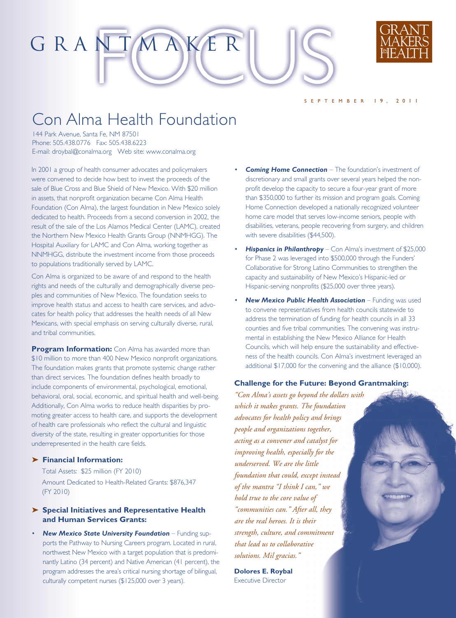

### Con Alma Health Foundation

GRANTMAKER

144 Park Avenue, Santa Fe, NM 87501 Phone: 505.438.0776 Fax: 505.438.6223 E-mail: droybal@conalma.org Web site: www.conalma.org

In 2001 a group of health consumer advocates and policymakers were convened to decide how best to invest the proceeds of the sale of Blue Cross and Blue Shield of New Mexico. With \$20 million in assets, that nonprofit organization became Con Alma Health Foundation (Con Alma), the largest foundation in New Mexico solely dedicated to health. Proceeds from a second conversion in 2002, the result of the sale of the Los Alamos Medical Center (LAMC), created the Northern New Mexico Health Grants Group (NNMHGG). The Hospital Auxiliary for LAMC and Con Alma, working together as NNMHGG, distribute the investment income from those proceeds to populations traditionally served by LAMC.

Con Alma is organized to be aware of and respond to the health rights and needs of the culturally and demographically diverse peoples and communities of New Mexico. The foundation seeks to improve health status and access to health care services, and advocates for health policy that addresses the health needs of all New Mexicans, with special emphasis on serving culturally diverse, rural, and tribal communities.

**Program Information:** Con Alma has awarded more than \$10 million to more than 400 New Mexico nonprofit organizations. The foundation makes grants that promote systemic change rather than direct services. The foundation defines health broadly to include components of environmental, psychological, emotional, behavioral, oral, social, economic, and spiritual health and well-being. Additionally, Con Alma works to reduce health disparities by promoting greater access to health care, and supports the development of health care professionals who reflect the cultural and linguistic diversity of the state, resulting in greater opportunities for those underrepresented in the health care fields.

#### **➤ Financial Information:**

Total Assets: \$25 million (FY 2010) Amount Dedicated to Health-Related Grants: \$876,347 (FY 2010)

- **➤ Special Initiatives and Representative Health and Human Services Grants:**
- *New Mexico State University Foundation* Funding supports the Pathway to Nursing Careers program. Located in rural, northwest New Mexico with a target population that is predominantly Latino (34 percent) and Native American (41 percent), the program addresses the area's critical nursing shortage of bilingual, culturally competent nurses (\$125,000 over 3 years).

**Coming Home Connection** – The foundation's investment of discretionary and small grants over several years helped the nonprofit develop the capacity to secure a four-year grant of more than \$350,000 to further its mission and program goals. Coming Home Connection developed a nationally recognized volunteer home care model that serves low-income seniors, people with disabilities, veterans, people recovering from surgery, and children with severe disabilities (\$44,500).

S EPTEMBER 19, 2011

- **Hispanics in Philanthropy** Con Alma's investment of \$25,000 for Phase 2 was leveraged into \$500,000 through the Funders' Collaborative for Strong Latino Communities to strengthen the capacity and sustainability of New Mexico's Hispanic-led or Hispanic-serving nonprofits (\$25,000 over three years).
- *New Mexico Public Health Association* Funding was used to convene representatives from health councils statewide to address the termination of funding for health councils in all 33 counties and five tribal communities. The convening was instrumental in establishing the New Mexico Alliance for Health Councils, which will help ensure the sustainability and effectiveness of the health councils. Con Alma's investment leveraged an additional \$17,000 for the convening and the alliance (\$10,000).

#### **Challenge for the Future: Beyond Grantmaking:**

*"Con Alma's assets go beyond the dollars with which it makes grants. The foundation advocates for health policy and brings people and organizations together, acting as a convener and catalyst for improving health, especially for the underserved. We are the little foundation that could, except instead of the mantra "I think I can," we hold true to the core value of "communities can." After all, they are the real heroes. It is their strength, culture, and commitment that lead us to collaborative solutions. Mil gracias."* 

**Dolores E. Roybal** Executive Director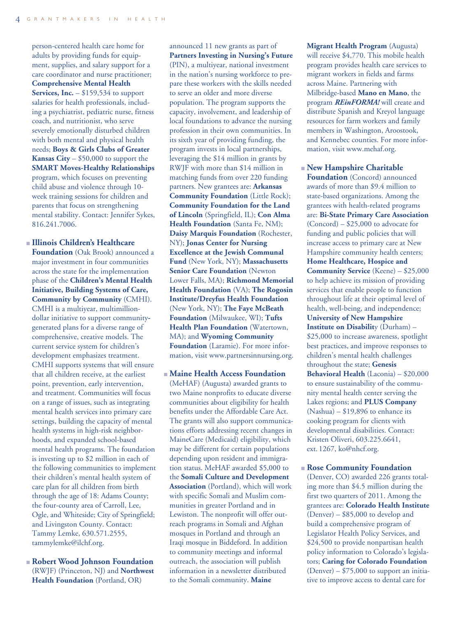person-centered health care home for adults by providing funds for equipment, supplies, and salary support for a care coordinator and nurse practitioner; **Comprehensive Mental Health Services, Inc.** – \$159,534 to support salaries for health professionals, including a psychiatrist, pediatric nurse, fitness coach, and nutritionist, who serve severely emotionally disturbed children with both mental and physical health needs; **Boys & Girls Clubs of Greater Kansas City** – \$50,000 to support the **SMART Moves-Healthy Relationships** program, which focuses on preventing child abuse and violence through 10 week training sessions for children and parents that focus on strengthening mental stability. Contact: Jennifer Sykes, 816.241.7006.

- **■ Illinois Children's Healthcare Foundation** (Oak Brook) announced a major investment in four communities across the state for the implementation phase of the **Children's Mental Health Initiative, Building Systems of Care, Community by Community** (CMHI). CMHI is a multiyear, multimilliondollar initiative to support communitygenerated plans for a diverse range of comprehensive, creative models. The current service system for children's development emphasizes treatment. CMHI supports systems that will ensure that all children receive, at the earliest point, prevention, early intervention, and treatment. Communities will focus on a range of issues, such as integrating mental health services into primary care settings, building the capacity of mental health systems in high-risk neighborhoods, and expanded school-based mental health programs. The foundation is investing up to \$2 million in each of the following communities to implement their children's mental health system of care plan for all children from birth through the age of 18: Adams County; the four-county area of Carroll, Lee, Ogle, and Whiteside; City of Springfield; and Livingston County. Contact: Tammy Lemke, 630.571.2555, tammylemke@ilchf.org.
- **■ Robert Wood Johnson Foundation** (RWJF) (Princeton, NJ) and **Northwest Health Foundation** (Portland, OR)

announced 11 new grants as part of **Partners Investing in Nursing's Future** (PIN), a multiyear, national investment in the nation's nursing workforce to prepare these workers with the skills needed to serve an older and more diverse population. The program supports the capacity, involvement, and leadership of local foundations to advance the nursing profession in their own communities. In its sixth year of providing funding, the program invests in local partnerships, leveraging the \$14 million in grants by RWJF with more than \$14 million in matching funds from over 220 funding partners. New grantees are: **Arkansas Community Foundation** (Little Rock); **Community Foundation for the Land of Lincoln** (Springfield, IL); **Con Alma Health Foundation** (Santa Fe, NM); **Daisy Marquis Foundation** (Rochester, NY); **Jonas Center for Nursing Excellence at the Jewish Communal Fund** (New York, NY); **Massachusetts Senior Care Foundation** (Newton Lower Falls, MA); **Richmond Memorial Health Foundation** (VA); **The Rogosin Institute/Dreyfus Health Foundation** (New York, NY); **The Faye McBeath Foundation** (Milwaukee, WI); **Tufts Health Plan Foundation** (Watertown, MA); and **Wyoming Community Foundation** (Laramie). For more information, visit www.partnersinnursing.org.

**■ Maine Health Access Foundation** (MeHAF) (Augusta) awarded grants to two Maine nonprofits to educate diverse communities about eligibility for health benefits under the Affordable Care Act. The grants will also support communications efforts addressing recent changes in MaineCare (Medicaid) eligibility, which may be different for certain populations depending upon resident and immigration status. MeHAF awarded \$5,000 to the **Somali Culture and Development Association** (Portland), which will work with specific Somali and Muslim communities in greater Portland and in Lewiston. The nonprofit will offer outreach programs in Somali and Afghan mosques in Portland and through an Iraqi mosque in Biddeford. In addition to community meetings and informal outreach, the association will publish information in a newsletter distributed to the Somali community. **Maine**

**Migrant Health Program** (Augusta) will receive \$4,770. This mobile health program provides health care services to migrant workers in fields and farms across Maine. Partnering with Milbridge-based **Mano en Mano**, the program *REinFORMA!* will create and distribute Spanish and Kreyol language resources for farm workers and family members in Washington, Aroostook, and Kennebec counties. For more information, visit www.mehaf.org.

**■ New Hampshire Charitable Foundation** (Concord) announced awards of more than \$9.4 million to state-based organizations. Among the grantees with health-related programs are: **Bi-State Primary Care Association** (Concord) – \$25,000 to advocate for funding and public policies that will increase access to primary care at New Hampshire community health centers; **Home Healthcare, Hospice and Community Service** (Keene) – \$25,000 to help achieve its mission of providing services that enable people to function throughout life at their optimal level of health, well-being, and independence; **University of New Hampshire Institute on Disabilit**y (Durham) – \$25,000 to increase awareness, spotlight best practices, and improve responses to children's mental health challenges throughout the state; **Genesis Behavioral Health** (Laconia) – \$20,000 to ensure sustainability of the community mental health center serving the Lakes regions; and **PLUS Company** (Nashua) – \$19,896 to enhance its cooking program for clients with developmental disabilities. Contact: Kristen Oliveri, 603.225.6641, ext. 1267, ko@nhcf.org.

**■ Rose Community Foundation** (Denver, CO) awarded 226 grants totaling more than \$4.5 million during the first two quarters of 2011. Among the grantees are: **Colorado Health Institute** (Denver) – \$85,000 to develop and build a comprehensive program of Legislator Health Policy Services, and \$24,500 to provide nonpartisan health policy information to Colorado's legislators; **Caring for Colorado Foundation**  $(Denver) - $75,000$  to support an initiative to improve access to dental care for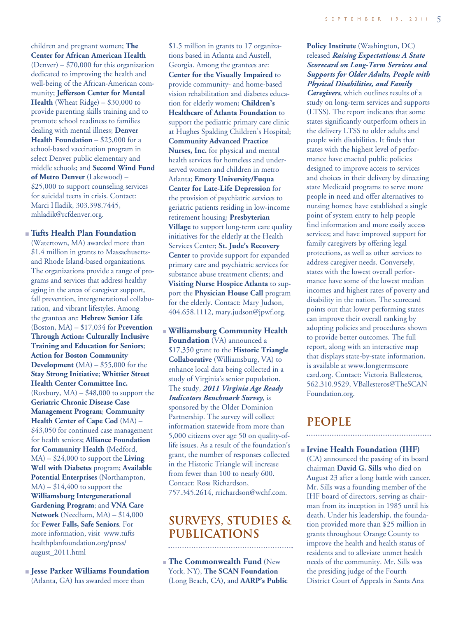children and pregnant women; **The Center for African American Health** (Denver) – \$70,000 for this organization dedicated to improving the health and well-being of the African-American community; **Jefferson Center for Mental Health** (Wheat Ridge) – \$30,000 to provide parenting skills training and to promote school readiness to families dealing with mental illness; **Denver Health Foundation** – \$25,000 for a school-based vaccination program in select Denver public elementary and middle schools; and **Second Wind Fund of Metro Denver** (Lakewood) – \$25,000 to support counseling services for suicidal teens in crisis. Contact: Marci Hladik, 303.398.7445, mhladik@rcfdenver.org.

#### **■ Tufts Health Plan Foundation**

(Watertown, MA) awarded more than \$1.4 million in grants to Massachusettsand Rhode Island-based organizations. The organizations provide a range of programs and services that address healthy aging in the areas of caregiver support, fall prevention, intergenerational collaboration, and vibrant lifestyles. Among the grantees are: **Hebrew Senior Life** (Boston, MA) – \$17,034 for **Prevention Through Action: Culturally Inclusive Training and Education for Seniors**; **Action for Boston Community Development (**MA) – \$55,000 for the **Stay Strong Initiative**; **Whittier Street Health Center Committee Inc.**  $(Roxbury, MA) - $48,000$  to support the **Geriatric Chronic Disease Case Management Program**; **Community Health Center of Cape Cod** (MA) – \$43,050 for continued case management for health seniors; **Alliance Foundation for Community Health** (Medford, MA) – \$24,000 to support the **Living Well with Diabetes** program; **Available Potential Enterprises** (Northampton,  $MA$ ) – \$14,400 to support the **Williamsburg Intergenerational Gardening Program**; and **VNA Care Network** (Needham, MA) – \$14,000 for **Fewer Falls, Safe Seniors**. For more information, visit www.tufts healthplanfoundation.org/press/ august\_2011.html

**■ Jesse Parker Williams Foundation** (Atlanta, GA) has awarded more than

\$1.5 million in grants to 17 organizations based in Atlanta and Austell, Georgia. Among the grantees are: **Center for the Visually Impaired** to provide community- and home-based vision rehabilitation and diabetes education for elderly women; **Children's Healthcare of Atlanta Foundation** to support the pediatric primary care clinic at Hughes Spalding Children's Hospital; **Community Advanced Practice Nurses, Inc.** for physical and mental health services for homeless and underserved women and children in metro Atlanta; **Emory University/Fuqua Center for Late-Life Depression** for the provision of psychiatric services to geriatric patients residing in low-income retirement housing; **Presbyterian Village** to support long-term care quality initiatives for the elderly at the Health Services Center; **St. Jude's Recovery Center** to provide support for expanded primary care and psychiatric services for substance abuse treatment clients; and **Visiting Nurse Hospice Atlanta** to support the **Physician House Call** program for the elderly. Contact: Mary Judson, 404.658.1112, mary.judson@jpwf.org.

**■ Williamsburg Community Health Foundation** (VA) announced a \$17,350 grant to the **Historic Triangle Collaborative** (Williamsburg, VA) to enhance local data being collected in a study of Virginia's senior population. The study, *2011 Virginia Age Ready Indicators Benchmark Survey*, is sponsored by the Older Dominion Partnership. The survey will collect information statewide from more than 5,000 citizens over age 50 on quality-oflife issues. As a result of the foundation's grant, the number of responses collected in the Historic Triangle will increase from fewer than 100 to nearly 600. Contact: Ross Richardson, 757.345.2614, rrichardson@wchf.com.

#### **SURVEYS, STUDIES & PUBLICATIONS**

**■ The Commonwealth Fund** (New York, NY), **The SCAN Foundation** (Long Beach, CA), and **AARP's Public**

#### **Policy Institute** (Washington, DC) released *Raising Expectations: A State Scorecard on Long-Term Services and Supports for Older Adults, People with Physical Disabilities, and Family*

*Caregivers*, which outlines results of a study on long-term services and supports (LTSS). The report indicates that some states significantly outperform others in the delivery LTSS to older adults and people with disabilities. It finds that states with the highest level of performance have enacted public policies designed to improve access to services and choices in their delivery by directing state Medicaid programs to serve more people in need and offer alternatives to nursing homes; have established a single point of system entry to help people find information and more easily access services; and have improved support for family caregivers by offering legal protections, as well as other services to address caregiver needs. Conversely, states with the lowest overall performance have some of the lowest median incomes and highest rates of poverty and disability in the nation. The scorecard points out that lower performing states can improve their overall ranking by adopting policies and procedures shown to provide better outcomes. The full report, along with an interactive map that displays state-by-state information, is available at www.longtermscore card.org. Contact: Victoria Ballesteros, 562.310.9529, VBallesteros@TheSCAN Foundation.org.

#### **people**

**■ Irvine Health Foundation (IHF)** (CA) announced the passing of its board chairman **David G. Sills** who died on August 23 after a long battle with cancer. Mr. Sills was a founding member of the IHF board of directors, serving as chairman from its inception in 1985 until his death. Under his leadership, the foundation provided more than \$25 million in grants throughout Orange County to improve the health and health status of residents and to alleviate unmet health needs of the community. Mr. Sills was the presiding judge of the Fourth District Court of Appeals in Santa Ana